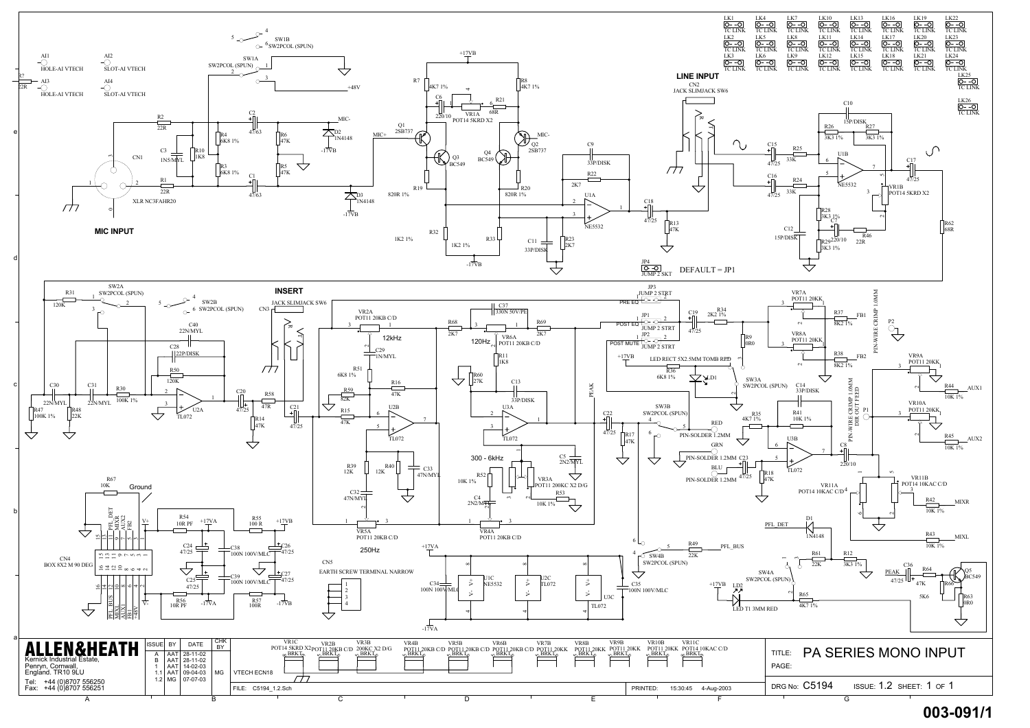

## **003-091/1**